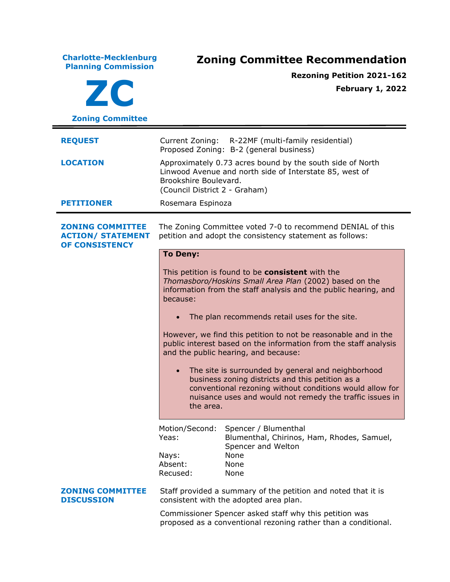**Charlotte-Mecklenburg Planning Commission Zoning Committee Recommendation ZC Zoning Committee Rezoning Petition 2021-162 February 1, 2022 REQUEST** Current Zoning: R-22MF (multi-family residential) Proposed Zoning: B-2 (general business) **LOCATION** Approximately 0.73 acres bound by the south side of North Linwood Avenue and north side of Interstate 85, west of Brookshire Boulevard. (Council District 2 - Graham) **PETITIONER** Rosemara Espinoza **ZONING COMMITTEE ACTION/ STATEMENT OF CONSISTENCY** The Zoning Committee voted 7-0 to recommend DENIAL of this petition and adopt the consistency statement as follows: **To Deny:** This petition is found to be **consistent** with the *Thomasboro/Hoskins Small Area Plan* (2002) based on the information from the staff analysis and the public hearing, and because: • The plan recommends retail uses for the site. However, we find this petition to not be reasonable and in the public interest based on the information from the staff analysis and the public hearing, and because: • The site is surrounded by general and neighborhood business zoning districts and this petition as a conventional rezoning without conditions would allow for nuisance uses and would not remedy the traffic issues in the area. Motion/Second: Spencer / Blumenthal Yeas: Blumenthal, Chirinos, Ham, Rhodes, Samuel, Spencer and Welton Nays: None Absent: None Recused: None **ZONING COMMITTEE DISCUSSION** Staff provided a summary of the petition and noted that it is consistent with the adopted area plan. Commissioner Spencer asked staff why this petition was proposed as a conventional rezoning rather than a conditional.